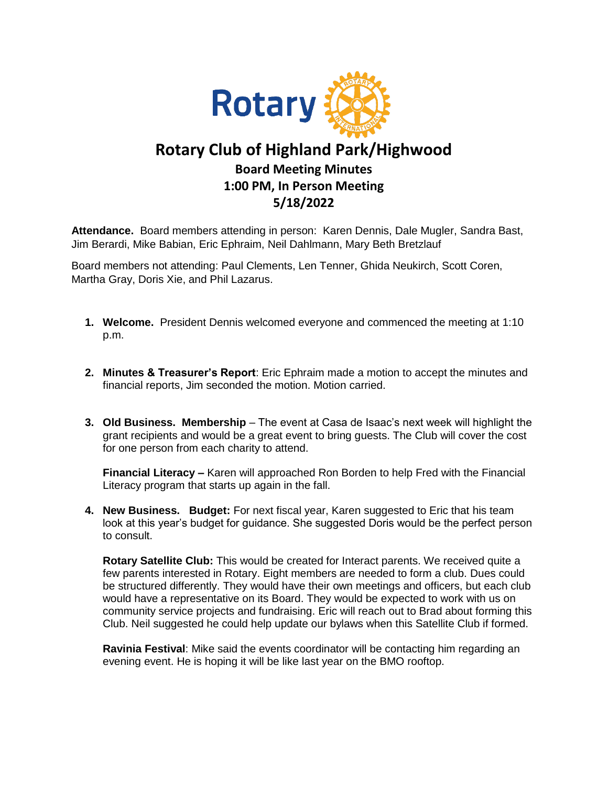

## **Rotary Club of Highland Park/Highwood Board Meeting Minutes 1:00 PM, In Person Meeting 5/18/2022**

**Attendance.** Board members attending in person: Karen Dennis, Dale Mugler, Sandra Bast, Jim Berardi, Mike Babian, Eric Ephraim, Neil Dahlmann, Mary Beth Bretzlauf

Board members not attending: Paul Clements, Len Tenner, Ghida Neukirch, Scott Coren, Martha Gray, Doris Xie, and Phil Lazarus.

- **1. Welcome.** President Dennis welcomed everyone and commenced the meeting at 1:10 p.m.
- **2. Minutes & Treasurer's Report**: Eric Ephraim made a motion to accept the minutes and financial reports, Jim seconded the motion. Motion carried.
- **3. Old Business. Membership** The event at Casa de Isaac's next week will highlight the grant recipients and would be a great event to bring guests. The Club will cover the cost for one person from each charity to attend.

**Financial Literacy –** Karen will approached Ron Borden to help Fred with the Financial Literacy program that starts up again in the fall.

**4. New Business. Budget:** For next fiscal year, Karen suggested to Eric that his team look at this year's budget for guidance. She suggested Doris would be the perfect person to consult.

**Rotary Satellite Club:** This would be created for Interact parents. We received quite a few parents interested in Rotary. Eight members are needed to form a club. Dues could be structured differently. They would have their own meetings and officers, but each club would have a representative on its Board. They would be expected to work with us on community service projects and fundraising. Eric will reach out to Brad about forming this Club. Neil suggested he could help update our bylaws when this Satellite Club if formed.

**Ravinia Festival**: Mike said the events coordinator will be contacting him regarding an evening event. He is hoping it will be like last year on the BMO rooftop.